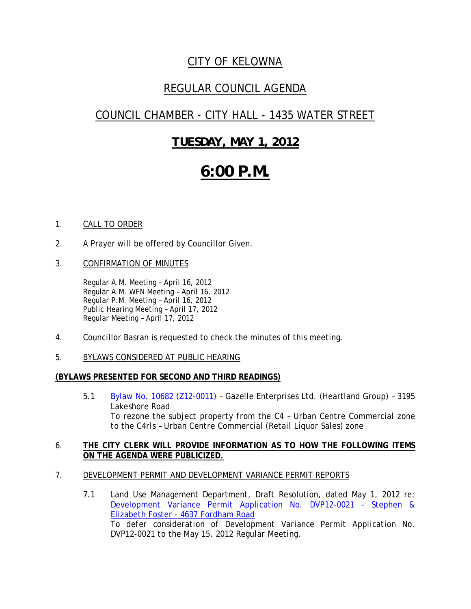## *CITY OF KELOWNA*

## *REGULAR COUNCIL AGENDA*

## *COUNCIL CHAMBER - CITY HALL - 1435 WATER STREET*

## *TUESDAY, MAY 1, 2012*

# *6:00 P.M.*

### 1. CALL TO ORDER

- 2. A Prayer will be offered by Councillor Given.
- 3. CONFIRMATION OF MINUTES

Regular A.M. Meeting – April 16, 2012 Regular A.M. WFN Meeting – April 16, 2012 Regular P.M. Meeting – April 16, 2012 Public Hearing Meeting – April 17, 2012 Regular Meeting – April 17, 2012

- 4. Councillor Basran is requested to check the minutes of this meeting.
- 5. BYLAWS CONSIDERED AT PUBLIC HEARING

### **(BYLAWS PRESENTED FOR SECOND AND THIRD READINGS)**

5.1 Bylaw No. 10682 (Z12-0011) - Gazelle Enterprises Ltd. (Heartland Group) - 3195 Lakeshore Road  *To rezone the subject property from the C4 – Urban Centre Commercial zone to the C4rls – Urban Centre Commercial (Retail Liquor Sales) zone*

#### 6. **THE CITY CLERK WILL PROVIDE INFORMATION AS TO HOW THE FOLLOWING ITEMS ON THE AGENDA WERE PUBLICIZED.**

- 7. DEVELOPMENT PERMIT AND DEVELOPMENT VARIANCE PERMIT REPORTS
	- 7.1 Land Use Management Department, Draft Resolution, dated May 1, 2012 re: Development Variance Permit Application No. DVP12-0021 - Stephen & Elizabeth Foster - 4637 Fordham Road *To defer consideration of Development Variance Permit Application No. DVP12-0021 to the May 15, 2012 Regular Meeting.*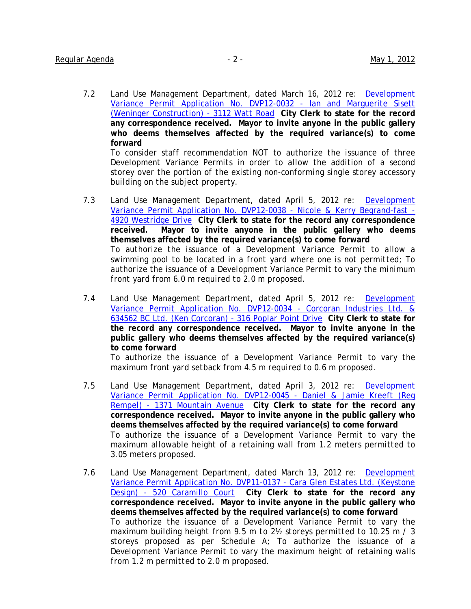7.2 Land Use Management Department, dated March 16, 2012 re: Development Variance Permit Application No. DVP12-0032 - Ian and Marguerite Sisett (Weninger Construction) - 3112 Watt Road **City Clerk to state for the record any correspondence received. Mayor to invite anyone in the public gallery who deems themselves affected by the required variance(s) to come forward**

To consider staff recommendation NOT t*o authorize the issuance of three Development Variance Permits in order to allow the addition of a second storey over the portion of the existing non-conforming single storey accessory building on the subject property.* 

- 7.3 Land Use Management Department, dated April 5, 2012 re: Development Variance Permit Application No. DVP12-0038 - Nicole & Kerry Begrand-fast - 4920 Westridge Drive **City Clerk to state for the record any correspondence received. Mayor to invite anyone in the public gallery who deems themselves affected by the required variance(s) to come forward** *To authorize the issuance of a Development Variance Permit to allow a swimming pool to be located in a front yard where one is not permitted; To authorize the issuance of a Development Variance Permit to vary the minimum front yard from 6.0 m required to 2.0 m proposed.*
- 7.4 Land Use Management Department, dated April 5, 2012 re: Development Variance Permit Application No. DVP12-0034 - Corcoran Industries Ltd. & 634562 BC Ltd. (Ken Corcoran) - 316 Poplar Point Drive **City Clerk to state for the record any correspondence received. Mayor to invite anyone in the public gallery who deems themselves affected by the required variance(s) to come forward**

*To authorize the issuance of a Development Variance Permit to vary the maximum front yard setback from 4.5 m required to 0.6 m proposed.* 

- 7.5 Land Use Management Department, dated April 3, 2012 re: Development Variance Permit Application No. DVP12-0045 - Daniel & Jamie Kreeft (Reg Rempel) - 1371 Mountain Avenue **City Clerk to state for the record any correspondence received. Mayor to invite anyone in the public gallery who deems themselves affected by the required variance(s) to come forward** *To authorize the issuance of a Development Variance Permit to vary the maximum allowable height of a retaining wall from 1.2 meters permitted to 3.05 meters proposed.*
- 7.6 Land Use Management Department, dated March 13, 2012 re: Development Variance Permit Application No. DVP11-0137 - Cara Glen Estates Ltd. (Keystone Design) - 520 Caramillo Court **City Clerk to state for the record any correspondence received. Mayor to invite anyone in the public gallery who deems themselves affected by the required variance(s) to come forward** *To authorize the issuance of a Development Variance Permit to vary the maximum building height from 9.5 m to 2½ storeys permitted to 10.25 m / 3 storeys proposed as per Schedule A; To authorize the issuance of a Development Variance Permit to vary the maximum height of retaining walls from 1.2 m permitted to 2.0 m proposed.*